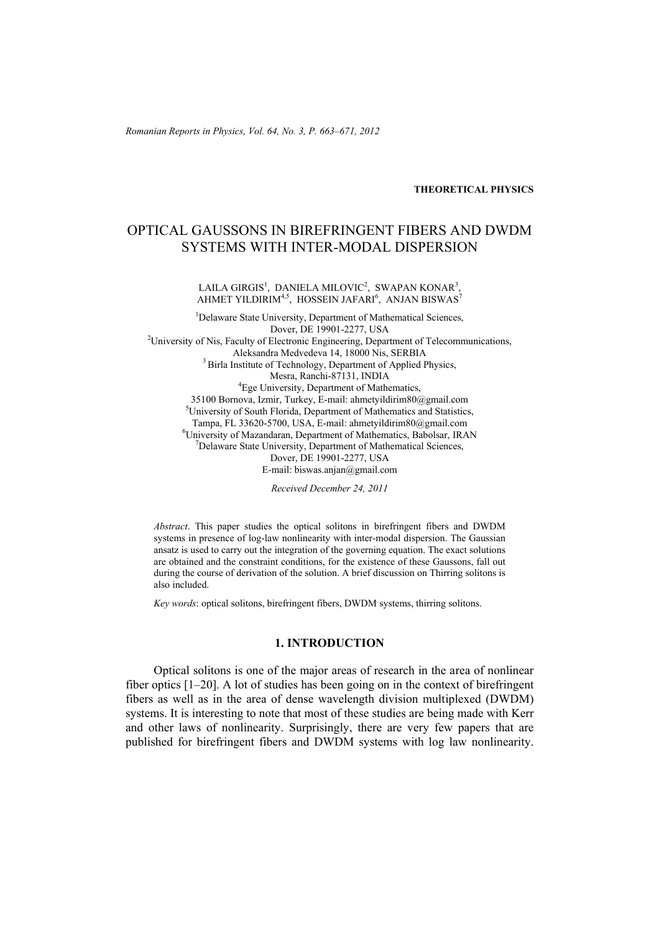*Romanian Reports in Physics, Vol. 64, No. 3, P. 663–671, 2012*

**THEORETICAL PHYSICS**

# OPTICAL GAUSSONS IN BIREFRINGENT FIBERS AND DWDM SYSTEMS WITH INTER-MODAL DISPERSION

LAILA GIRGIS $^1$ , DANIELA MILOVIC $^2$ , SWAPAN KONAR $^3$ , AHMET YILDIRIM $^{4,5}$ , HOSSEIN JAFARI $^6$ , ANJAN BISWAS $^7$ 

<sup>1</sup>Delaware State University, Department of Mathematical Sciences, Dover, DE 19901-2277, USA 2 University of Nis, Faculty of Electronic Engineering, Department of Telecommunications, Aleksandra Medvedeva 14, 18000 Nis, SERBIA 3 Birla Institute of Technology, Department of Applied Physics, Mesra, Ranchi-87131, INDIA<br>
<sup>4</sup>Ege University, Department of Mathematics, 35100 Bornova, Izmir, Turkey, E-mail: ahmetyildirim80@gmail.com 5 University of South Florida, Department of Mathematics and Statistics, Tampa, FL 33620-5700, USA, E-mail: ahmetyildirim80@gmail.com 6 University of Mazandaran, Department of Mathematics, Babolsar, IRAN <sup>7</sup>  $\sqrt{D}$ Delaware State University, Department of Mathematical Sciences, Dover, DE 19901-2277, USA E-mail: biswas.anjan@gmail.com

*Received December 24, 2011* 

*Abstract*. This paper studies the optical solitons in birefringent fibers and DWDM systems in presence of log-law nonlinearity with inter-modal dispersion. The Gaussian ansatz is used to carry out the integration of the governing equation. The exact solutions are obtained and the constraint conditions, for the existence of these Gaussons, fall out during the course of derivation of the solution. A brief discussion on Thirring solitons is also included.

*Key words*: optical solitons, birefringent fibers, DWDM systems, thirring solitons.

#### **1. INTRODUCTION**

Optical solitons is one of the major areas of research in the area of nonlinear fiber optics [1–20]. A lot of studies has been going on in the context of birefringent fibers as well as in the area of dense wavelength division multiplexed (DWDM) systems. It is interesting to note that most of these studies are being made with Kerr and other laws of nonlinearity. Surprisingly, there are very few papers that are published for birefringent fibers and DWDM systems with log law nonlinearity.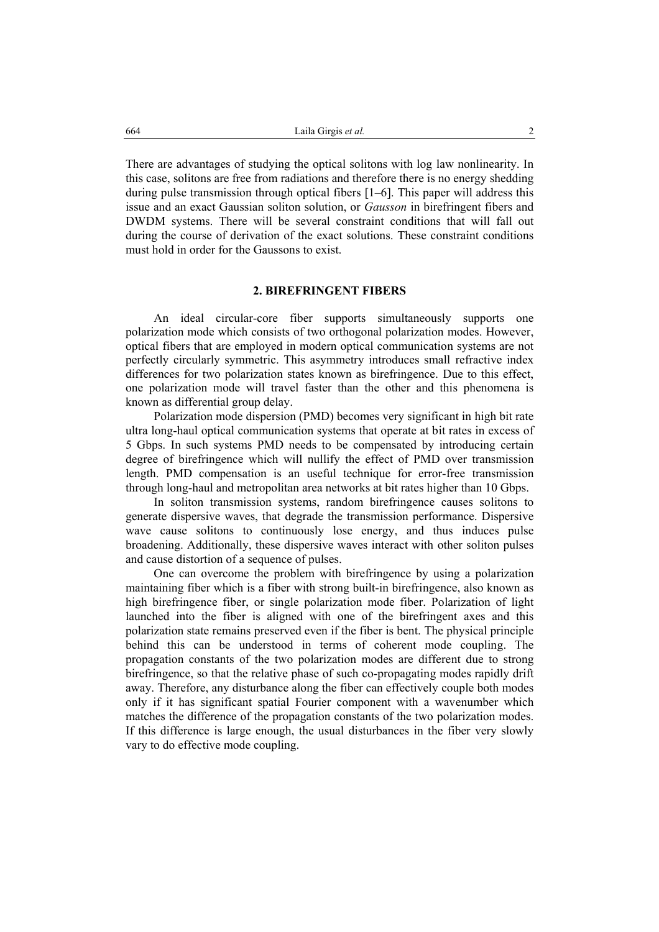There are advantages of studying the optical solitons with log law nonlinearity. In this case, solitons are free from radiations and therefore there is no energy shedding during pulse transmission through optical fibers [1–6]. This paper will address this issue and an exact Gaussian soliton solution, or *Gausson* in birefringent fibers and DWDM systems. There will be several constraint conditions that will fall out during the course of derivation of the exact solutions. These constraint conditions must hold in order for the Gaussons to exist.

## **2. BIREFRINGENT FIBERS**

An ideal circular-core fiber supports simultaneously supports one polarization mode which consists of two orthogonal polarization modes. However, optical fibers that are employed in modern optical communication systems are not perfectly circularly symmetric. This asymmetry introduces small refractive index differences for two polarization states known as birefringence. Due to this effect, one polarization mode will travel faster than the other and this phenomena is known as differential group delay.

Polarization mode dispersion (PMD) becomes very significant in high bit rate ultra long-haul optical communication systems that operate at bit rates in excess of 5 Gbps. In such systems PMD needs to be compensated by introducing certain degree of birefringence which will nullify the effect of PMD over transmission length. PMD compensation is an useful technique for error-free transmission through long-haul and metropolitan area networks at bit rates higher than 10 Gbps.

In soliton transmission systems, random birefringence causes solitons to generate dispersive waves, that degrade the transmission performance. Dispersive wave cause solitons to continuously lose energy, and thus induces pulse broadening. Additionally, these dispersive waves interact with other soliton pulses and cause distortion of a sequence of pulses.

One can overcome the problem with birefringence by using a polarization maintaining fiber which is a fiber with strong built-in birefringence, also known as high birefringence fiber, or single polarization mode fiber. Polarization of light launched into the fiber is aligned with one of the birefringent axes and this polarization state remains preserved even if the fiber is bent. The physical principle behind this can be understood in terms of coherent mode coupling. The propagation constants of the two polarization modes are different due to strong birefringence, so that the relative phase of such co-propagating modes rapidly drift away. Therefore, any disturbance along the fiber can effectively couple both modes only if it has significant spatial Fourier component with a wavenumber which matches the difference of the propagation constants of the two polarization modes. If this difference is large enough, the usual disturbances in the fiber very slowly vary to do effective mode coupling.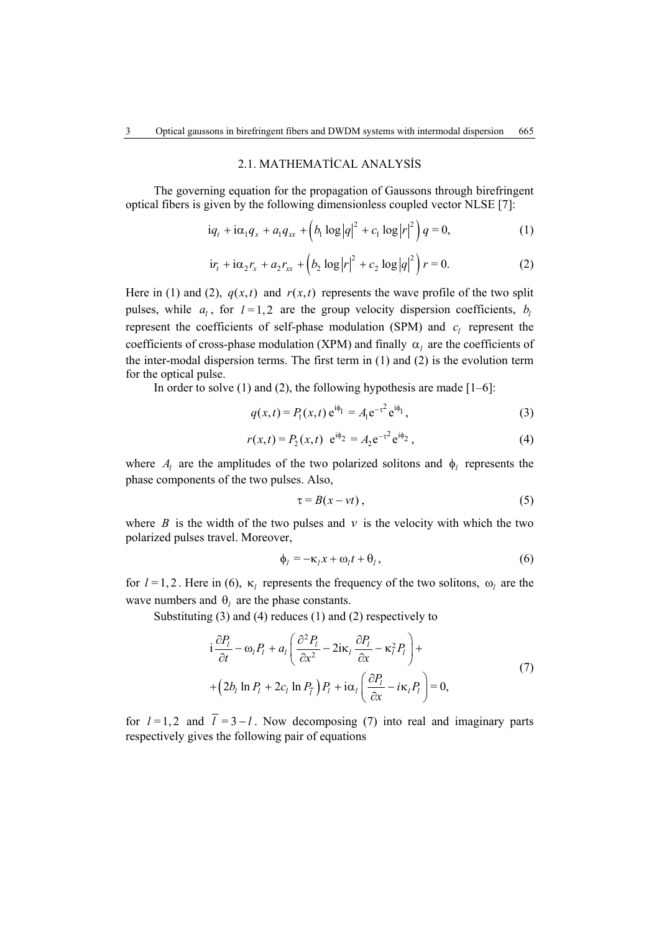#### 2.1. MATHEMATİCAL ANALYSİS

The governing equation for the propagation of Gaussons through birefringent optical fibers is given by the following dimensionless coupled vector NLSE [7]:

$$
iq_{t} + i\alpha_{1}q_{x} + a_{1}q_{xx} + (b_{1}\log|q|^{2} + c_{1}\log|r|^{2})q = 0,
$$
 (1)

$$
ir_{t} + i\alpha_{2}r_{x} + a_{2}r_{xx} + (b_{2}\log|r|^{2} + c_{2}\log|q|^{2})r = 0.
$$
 (2)

Here in (1) and (2),  $q(x,t)$  and  $r(x,t)$  represents the wave profile of the two split pulses, while  $a_i$ , for  $l = 1, 2$  are the group velocity dispersion coefficients,  $b_i$ represent the coefficients of self-phase modulation (SPM) and  $c_l$  represent the coefficients of cross-phase modulation (XPM) and finally  $\alpha$ <sub>l</sub> are the coefficients of the inter-modal dispersion terms. The first term in (1) and (2) is the evolution term for the optical pulse.

In order to solve  $(1)$  and  $(2)$ , the following hypothesis are made  $[1-6]$ :

$$
q(x,t) = P_1(x,t) e^{i\phi_1} = A_1 e^{-\tau^2} e^{i\phi_1},
$$
\n(3)

$$
r(x,t) = P_2(x,t) e^{i\phi_2} = A_2 e^{-\tau^2} e^{i\phi_2}, \qquad (4)
$$

where  $A_l$  are the amplitudes of the two polarized solitons and  $\phi_l$  represents the phase components of the two pulses. Also,

$$
\tau = B(x - vt),\tag{5}
$$

where *B* is the width of the two pulses and  $\nu$  is the velocity with which the two polarized pulses travel. Moreover,

$$
\phi_l = -\kappa_l x + \omega_l t + \theta_l, \qquad (6)
$$

for  $l = 1, 2$ . Here in (6),  $\kappa_l$  represents the frequency of the two solitons,  $\omega_l$  are the wave numbers and  $\theta$  are the phase constants.

Substituting (3) and (4) reduces (1) and (2) respectively to

$$
i\frac{\partial P_l}{\partial t} - \omega_l P_l + a_l \left( \frac{\partial^2 P_l}{\partial x^2} - 2i\kappa_l \frac{\partial P_l}{\partial x} - \kappa_l^2 P_l \right) +
$$
  
+ 
$$
\left( 2b_l \ln P_l + 2c_l \ln P_l \right) P_l + i\alpha_l \left( \frac{\partial P_l}{\partial x} - i\kappa_l P_l \right) = 0,
$$
 (7)

for  $l = 1, 2$  and  $\overline{l} = 3 - l$ . Now decomposing (7) into real and imaginary parts respectively gives the following pair of equations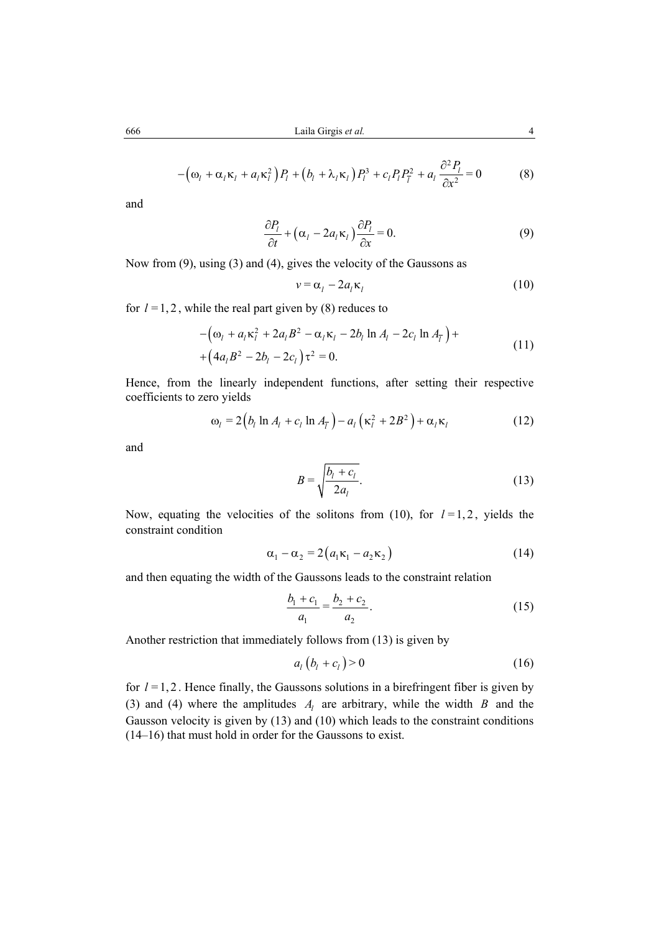$$
-\left(\omega_l + \alpha_l \kappa_l + a_l \kappa_l^2\right) P_l + \left(b_l + \lambda_l \kappa_l\right) P_l^3 + c_l P_l P_{\bar{l}}^2 + a_l \frac{\partial^2 P_l}{\partial x^2} = 0 \tag{8}
$$

and

$$
\frac{\partial P_l}{\partial t} + \left(\alpha_l - 2a_l \kappa_l\right) \frac{\partial P_l}{\partial x} = 0.
$$
\n(9)

Now from (9), using (3) and (4), gives the velocity of the Gaussons as

$$
v = \alpha_l - 2a_l \kappa_l \tag{10}
$$

for  $l = 1, 2$ , while the real part given by (8) reduces to

$$
-(\omega_l + a_l \kappa_l^2 + 2a_l B^2 - \alpha_l \kappa_l - 2b_l \ln A_l - 2c_l \ln A_{\bar{l}}) + (4a_l B^2 - 2b_l - 2c_l) \tau^2 = 0.
$$
\n(11)

Hence, from the linearly independent functions, after setting their respective coefficients to zero yields

$$
\omega_l = 2(b_l \ln A_l + c_l \ln A_{\overline{l}}) - a_l (\kappa_l^2 + 2B^2) + \alpha_l \kappa_l
$$
 (12)

and

$$
B = \sqrt{\frac{b_l + c_l}{2a_l}}.\tag{13}
$$

Now, equating the velocities of the solitons from (10), for  $l=1, 2$ , yields the constraint condition

$$
\alpha_1 - \alpha_2 = 2(a_1 \kappa_1 - a_2 \kappa_2) \tag{14}
$$

and then equating the width of the Gaussons leads to the constraint relation

$$
\frac{b_1 + c_1}{a_1} = \frac{b_2 + c_2}{a_2}.
$$
 (15)

Another restriction that immediately follows from (13) is given by

$$
a_l (b_l + c_l) > 0 \tag{16}
$$

for  $l = 1, 2$ . Hence finally, the Gaussons solutions in a birefringent fiber is given by (3) and (4) where the amplitudes  $A_l$  are arbitrary, while the width  $B$  and the Gausson velocity is given by (13) and (10) which leads to the constraint conditions (14–16) that must hold in order for the Gaussons to exist.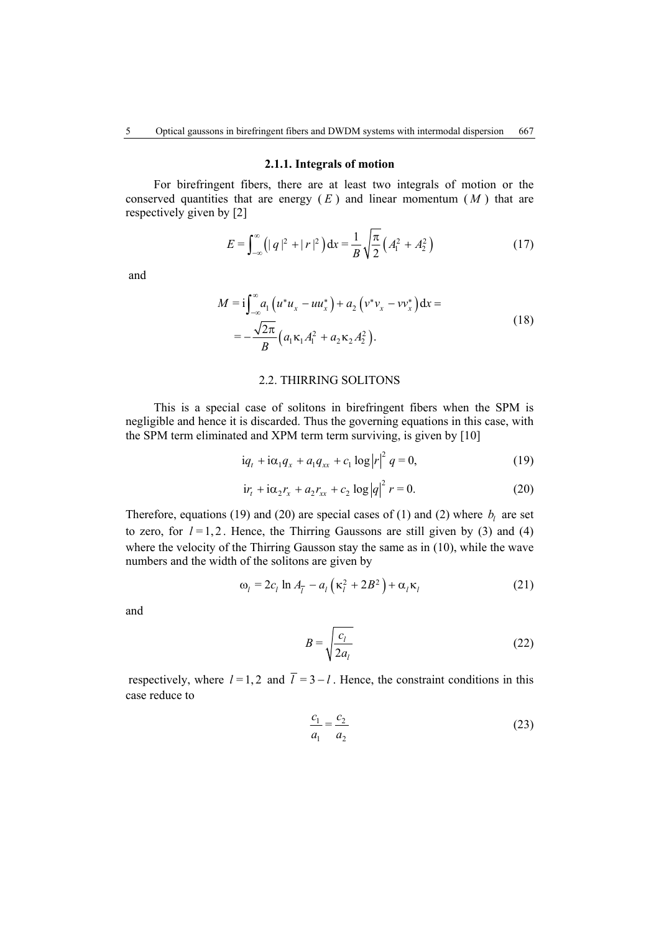#### **2.1.1. Integrals of motion**

For birefringent fibers, there are at least two integrals of motion or the conserved quantities that are energy  $(E)$  and linear momentum  $(M)$  that are respectively given by [2]

$$
E = \int_{-\infty}^{\infty} \left( |q|^2 + |r|^2 \right) dx = \frac{1}{B} \sqrt{\frac{\pi}{2}} \left( A_1^2 + A_2^2 \right) \tag{17}
$$

and

$$
M = i \int_{-\infty}^{\infty} a_1 \left( u^* u_x - u u_x^* \right) + a_2 \left( v^* v_x - v v_x^* \right) dx =
$$
  
= 
$$
-\frac{\sqrt{2\pi}}{B} \left( a_1 \kappa_1 A_1^2 + a_2 \kappa_2 A_2^2 \right).
$$
 (18)

#### 2.2. THIRRING SOLITONS

This is a special case of solitons in birefringent fibers when the SPM is negligible and hence it is discarded. Thus the governing equations in this case, with the SPM term eliminated and XPM term term surviving, is given by [10]

$$
iq_{t} + i\alpha_{1}q_{x} + a_{1}q_{xx} + c_{1}\log|r|^{2} q = 0,
$$
\n(19)

$$
irt + i\alpha_2 r_x + a_2 r_{xx} + c_2 \log |q|^2 r = 0.
$$
 (20)

Therefore, equations (19) and (20) are special cases of (1) and (2) where  $b_l$  are set to zero, for  $l = 1, 2$ . Hence, the Thirring Gaussons are still given by (3) and (4) where the velocity of the Thirring Gausson stay the same as in (10), while the wave numbers and the width of the solitons are given by

$$
\omega_l = 2c_l \ln A_{\overline{l}} - a_l \left( \kappa_l^2 + 2B^2 \right) + \alpha_l \kappa_l \tag{21}
$$

and

$$
B = \sqrt{\frac{c_l}{2a_l}}\tag{22}
$$

respectively, where  $l = 1, 2$  and  $\overline{l} = 3 - l$ . Hence, the constraint conditions in this case reduce to

$$
\frac{c_1}{a_1} = \frac{c_2}{a_2} \tag{23}
$$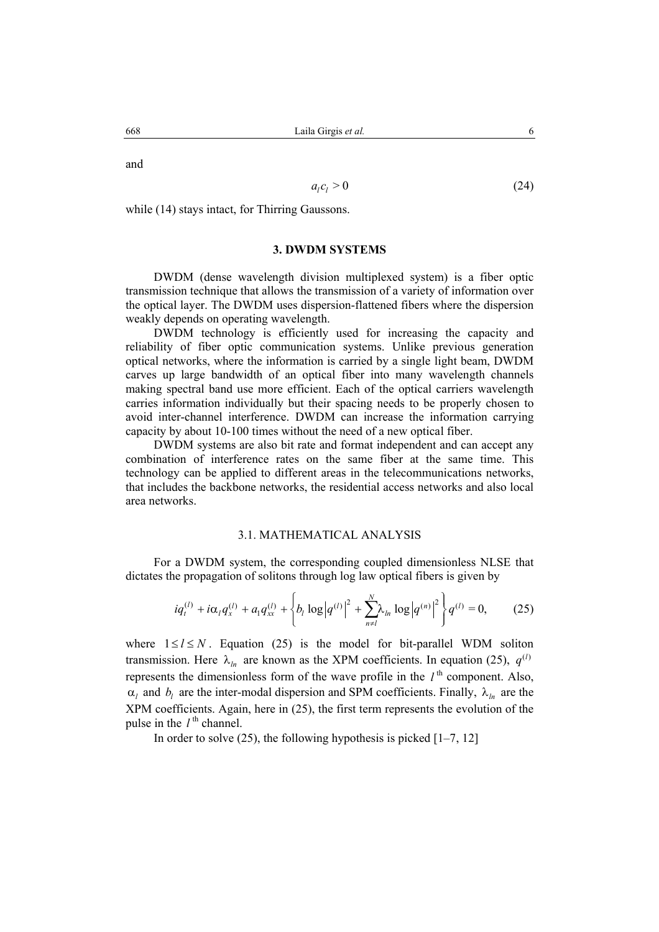and

$$
a_l c_l > 0 \tag{24}
$$

while (14) stays intact, for Thirring Gaussons.

## **3. DWDM SYSTEMS**

DWDM (dense wavelength division multiplexed system) is a fiber optic transmission technique that allows the transmission of a variety of information over the optical layer. The DWDM uses dispersion-flattened fibers where the dispersion weakly depends on operating wavelength.

DWDM technology is efficiently used for increasing the capacity and reliability of fiber optic communication systems. Unlike previous generation optical networks, where the information is carried by a single light beam, DWDM carves up large bandwidth of an optical fiber into many wavelength channels making spectral band use more efficient. Each of the optical carriers wavelength carries information individually but their spacing needs to be properly chosen to avoid inter-channel interference. DWDM can increase the information carrying capacity by about 10-100 times without the need of a new optical fiber.

DWDM systems are also bit rate and format independent and can accept any combination of interference rates on the same fiber at the same time. This technology can be applied to different areas in the telecommunications networks, that includes the backbone networks, the residential access networks and also local area networks.

## 3.1. MATHEMATICAL ANALYSIS

For a DWDM system, the corresponding coupled dimensionless NLSE that dictates the propagation of solitons through log law optical fibers is given by

$$
iq_{t}^{(l)} + i\alpha_{l}q_{x}^{(l)} + a_{l}q_{xx}^{(l)} + \left\{b_{l}\log|q^{(l)}|^{2} + \sum_{n=1}^{N} \lambda_{ln}\log|q^{(n)}|^{2}\right\}q^{(l)} = 0, \qquad (25)
$$

where  $1 \le l \le N$ . Equation (25) is the model for bit-parallel WDM soliton transmission. Here  $\lambda_{l_n}$  are known as the XPM coefficients. In equation (25),  $q^{(l)}$ represents the dimensionless form of the wave profile in the  $l<sup>th</sup>$  component. Also,  $\alpha_l$  and  $b_l$  are the inter-modal dispersion and SPM coefficients. Finally,  $\lambda_{ln}$  are the XPM coefficients. Again, here in (25), the first term represents the evolution of the pulse in the  $l^{\text{th}}$  channel.

In order to solve  $(25)$ , the following hypothesis is picked  $[1-7, 12]$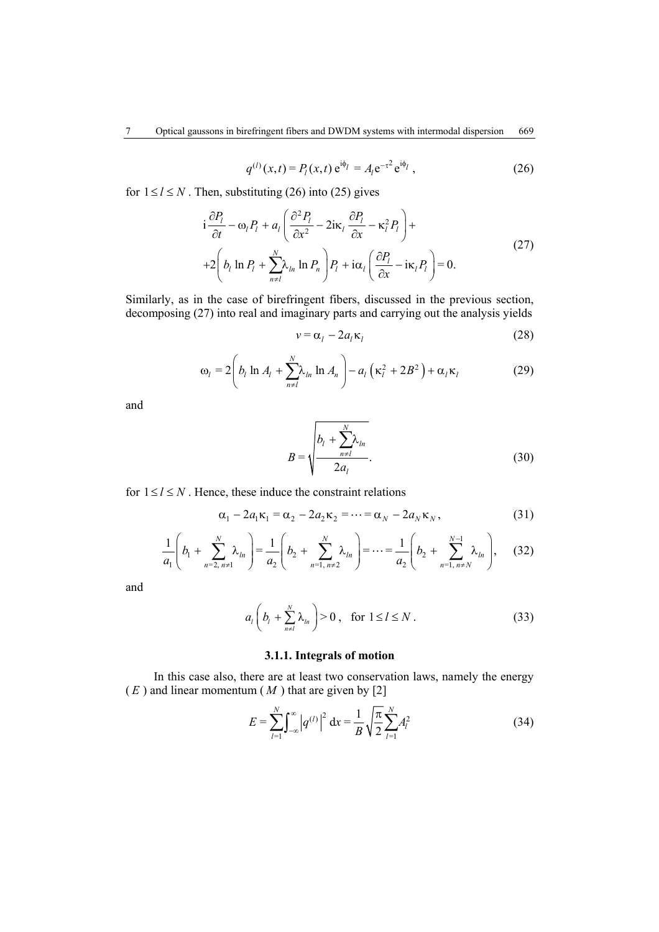$$
q^{(l)}(x,t) = P_l(x,t) e^{i\phi_l} = A_l e^{-\tau^2} e^{i\phi_l}, \qquad (26)
$$

for  $1 \le l \le N$ . Then, substituting (26) into (25) gives

$$
i\frac{\partial P_l}{\partial t} - \omega_l P_l + a_l \left( \frac{\partial^2 P_l}{\partial x^2} - 2i\kappa_l \frac{\partial P_l}{\partial x} - \kappa_l^2 P_l \right) +
$$
  
+2\left( b\_l \ln P\_l + \sum\_{n=1}^N \lambda\_{ln} \ln P\_n \right) P\_l + i\alpha\_l \left( \frac{\partial P\_l}{\partial x} - i\kappa\_l P\_l \right) = 0. (27)

Similarly, as in the case of birefringent fibers, discussed in the previous section, decomposing (27) into real and imaginary parts and carrying out the analysis yields

$$
v = \alpha_l - 2a_l \kappa_l \tag{28}
$$

$$
\omega_l = 2\left(b_l \ln A_l + \sum_{n \neq l}^{N} \lambda_{ln} \ln A_n\right) - a_l \left(\kappa_l^2 + 2B^2\right) + \alpha_l \kappa_l \tag{29}
$$

and

$$
B = \sqrt{\frac{b_l + \sum_{n \neq l}^{N} \lambda_{ln}}{2a_l}}.
$$
 (30)

for  $1 \le l \le N$ . Hence, these induce the constraint relations

$$
\alpha_1 - 2a_1 \kappa_1 = \alpha_2 - 2a_2 \kappa_2 = \dots = \alpha_N - 2a_N \kappa_N, \qquad (31)
$$

$$
\frac{1}{a_1}\left(b_1 + \sum_{n=2, n \neq 1}^{N} \lambda_{ln}\right) = \frac{1}{a_2}\left(b_2 + \sum_{n=1, n \neq 2}^{N} \lambda_{ln}\right) = \dots = \frac{1}{a_2}\left(b_2 + \sum_{n=1, n \neq N}^{N-1} \lambda_{ln}\right),\tag{32}
$$

and

$$
a_l\bigg(b_l+\sum_{n=1}^N\lambda_{l_n}\bigg)>0\,,\quad\text{for }1\leq l\leq N\,.
$$

# **3.1.1. Integrals of motion**

In this case also, there are at least two conservation laws, namely the energy  $(E)$  and linear momentum  $(M)$  that are given by [2]

$$
E = \sum_{l=1}^{N} \int_{-\infty}^{\infty} |q^{(l)}|^2 dx = \frac{1}{B} \sqrt{\frac{\pi}{2}} \sum_{l=1}^{N} A_l^2
$$
 (34)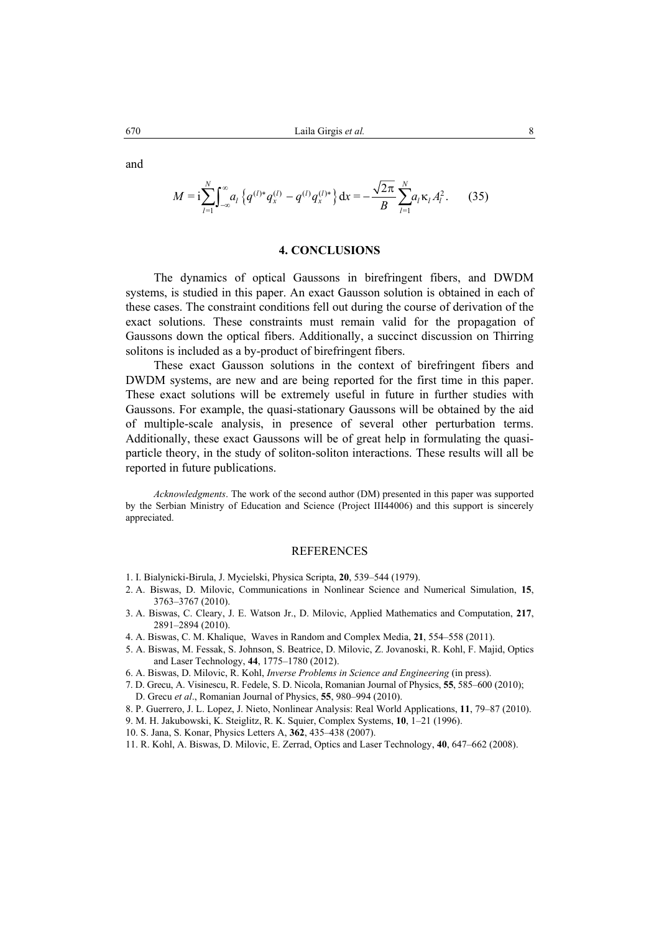and

$$
M = i \sum_{l=1}^{N} \int_{-\infty}^{\infty} a_l \left\{ q^{(l)*} q_x^{(l)} - q^{(l)} q_x^{(l)*} \right\} dx = -\frac{\sqrt{2\pi}}{B} \sum_{l=1}^{N} a_l \kappa_l A_l^2.
$$
 (35)

## **4. CONCLUSIONS**

The dynamics of optical Gaussons in birefringent fibers, and DWDM systems, is studied in this paper. An exact Gausson solution is obtained in each of these cases. The constraint conditions fell out during the course of derivation of the exact solutions. These constraints must remain valid for the propagation of Gaussons down the optical fibers. Additionally, a succinct discussion on Thirring solitons is included as a by-product of birefringent fibers.

These exact Gausson solutions in the context of birefringent fibers and DWDM systems, are new and are being reported for the first time in this paper. These exact solutions will be extremely useful in future in further studies with Gaussons. For example, the quasi-stationary Gaussons will be obtained by the aid of multiple-scale analysis, in presence of several other perturbation terms. Additionally, these exact Gaussons will be of great help in formulating the quasiparticle theory, in the study of soliton-soliton interactions. These results will all be reported in future publications.

*Acknowledgments*. The work of the second author (DM) presented in this paper was supported by the Serbian Ministry of Education and Science (Project III44006) and this support is sincerely appreciated.

### REFERENCES

- 1. I. Bialynicki-Birula, J. Mycielski, Physica Scripta, **20**, 539–544 (1979).
- 2. A. Biswas, D. Milovic, Communications in Nonlinear Science and Numerical Simulation, **15**, 3763–3767 (2010).
- 3. A. Biswas, C. Cleary, J. E. Watson Jr., D. Milovic, Applied Mathematics and Computation, **217**, 2891–2894 (2010).
- 4. A. Biswas, C. M. Khalique, Waves in Random and Complex Media, **21**, 554–558 (2011).
- 5. A. Biswas, M. Fessak, S. Johnson, S. Beatrice, D. Milovic, Z. Jovanoski, R. Kohl, F. Majid, Optics and Laser Technology, **44**, 1775–1780 (2012).
- 6. A. Biswas, D. Milovic, R. Kohl, *Inverse Problems in Science and Engineering* (in press).
- 7. D. Grecu, A. Visinescu, R. Fedele, S. D. Nicola, Romanian Journal of Physics, **55**, 585–600 (2010); D. Grecu *et al*., Romanian Journal of Physics, **55**, 980–994 (2010).
- 8. P. Guerrero, J. L. Lopez, J. Nieto, Nonlinear Analysis: Real World Applications, **11**, 79–87 (2010).
- 9. M. H. Jakubowski, K. Steiglitz, R. K. Squier, Complex Systems, **10**, 1–21 (1996).
- 10. S. Jana, S. Konar, Physics Letters A, **362**, 435–438 (2007).
- 11. R. Kohl, A. Biswas, D. Milovic, E. Zerrad, Optics and Laser Technology, **40**, 647–662 (2008).